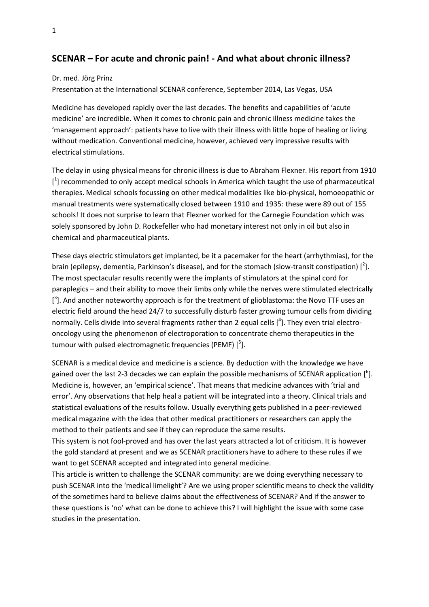## SCENAR – For acute and chronic pain! - And what about chronic illness?

## Dr. med. Jörg Prinz

Presentation at the International SCENAR conference, September 2014, Las Vegas, USA

Medicine has developed rapidly over the last decades. The benefits and capabilities of 'acute medicine' are incredible. When it comes to chronic pain and chronic illness medicine takes the 'management approach': patients have to live with their illness with little hope of healing or living without medication. Conventional medicine, however, achieved very impressive results with electrical stimulations.

The delay in using physical means for chronic illness is due to Abraham Flexner. His report from 1910 [<sup>1</sup>] recommended to only accept medical schools in America which taught the use of pharmaceutical therapies. Medical schools focussing on other medical modalities like bio-physical, homoeopathic or manual treatments were systematically closed between 1910 and 1935: these were 89 out of 155 schools! It does not surprise to learn that Flexner worked for the Carnegie Foundation which was solely sponsored by John D. Rockefeller who had monetary interest not only in oil but also in chemical and pharmaceutical plants.

These days electric stimulators get implanted, be it a pacemaker for the heart (arrhythmias), for the brain (epilepsy, dementia, Parkinson's disease), and for the stomach (slow-transit constipation)  $[^2]$ . The most spectacular results recently were the implants of stimulators at the spinal cord for paraplegics – and their ability to move their limbs only while the nerves were stimulated electrically  $[^3]$ . And another noteworthy approach is for the treatment of glioblastoma: the Novo TTF uses an electric field around the head 24/7 to successfully disturb faster growing tumour cells from dividing normally. Cells divide into several fragments rather than 2 equal cells  $[^4]$ . They even trial electrooncology using the phenomenon of electroporation to concentrate chemo therapeutics in the tumour with pulsed electromagnetic frequencies (PEMF) [<sup>5</sup>].

SCENAR is a medical device and medicine is a science. By deduction with the knowledge we have gained over the last 2-3 decades we can explain the possible mechanisms of SCENAR application  $[^6]$ . Medicine is, however, an 'empirical science'. That means that medicine advances with 'trial and error'. Any observations that help heal a patient will be integrated into a theory. Clinical trials and statistical evaluations of the results follow. Usually everything gets published in a peer-reviewed medical magazine with the idea that other medical practitioners or researchers can apply the method to their patients and see if they can reproduce the same results.

This system is not fool-proved and has over the last years attracted a lot of criticism. It is however the gold standard at present and we as SCENAR practitioners have to adhere to these rules if we want to get SCENAR accepted and integrated into general medicine.

This article is written to challenge the SCENAR community: are we doing everything necessary to push SCENAR into the 'medical limelight'? Are we using proper scientific means to check the validity of the sometimes hard to believe claims about the effectiveness of SCENAR? And if the answer to these questions is 'no' what can be done to achieve this? I will highlight the issue with some case studies in the presentation.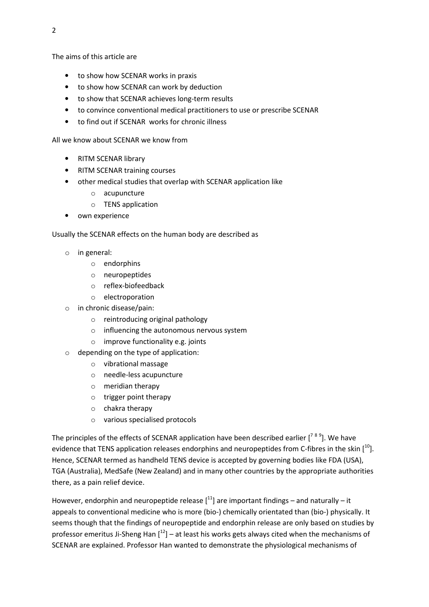The aims of this article are

- to show how SCENAR works in praxis
- to show how SCENAR can work by deduction
- to show that SCENAR achieves long-term results
- to convince conventional medical practitioners to use or prescribe SCENAR
- to find out if SCENAR works for chronic illness

All we know about SCENAR we know from

- RITM SCENAR library
- RITM SCENAR training courses
- other medical studies that overlap with SCENAR application like
	- o acupuncture
	- o TENS application
- own experience

Usually the SCENAR effects on the human body are described as

- o in general:
	- o endorphins
	- o neuropeptides
	- o reflex-biofeedback
	- o electroporation
- o in chronic disease/pain:
	- o reintroducing original pathology
	- o influencing the autonomous nervous system
	- o improve functionality e.g. joints
- o depending on the type of application:
	- o vibrational massage
	- o needle-less acupuncture
	- o meridian therapy
	- o trigger point therapy
	- o chakra therapy
	- o various specialised protocols

The principles of the effects of SCENAR application have been described earlier [<sup>789</sup>]. We have evidence that TENS application releases endorphins and neuropeptides from C-fibres in the skin  $[10]$ . Hence, SCENAR termed as handheld TENS device is accepted by governing bodies like FDA (USA), TGA (Australia), MedSafe (New Zealand) and in many other countries by the appropriate authorities there, as a pain relief device.

However, endorphin and neuropeptide release  $[11]$  are important findings – and naturally – it appeals to conventional medicine who is more (bio-) chemically orientated than (bio-) physically. It seems though that the findings of neuropeptide and endorphin release are only based on studies by professor emeritus Ji-Sheng Han  $[12]$  – at least his works gets always cited when the mechanisms of SCENAR are explained. Professor Han wanted to demonstrate the physiological mechanisms of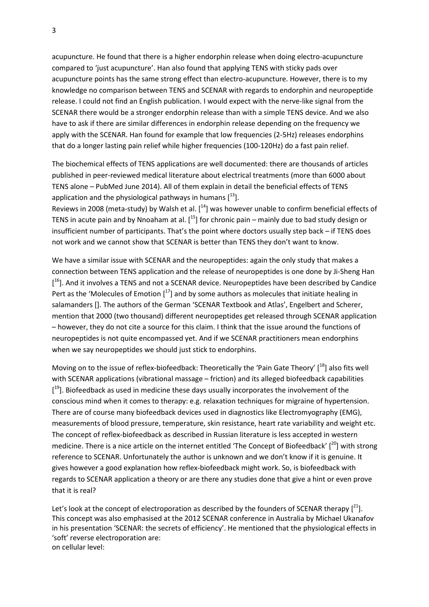acupuncture. He found that there is a higher endorphin release when doing electro-acupuncture compared to 'just acupuncture'. Han also found that applying TENS with sticky pads over acupuncture points has the same strong effect than electro-acupuncture. However, there is to my knowledge no comparison between TENS and SCENAR with regards to endorphin and neuropeptide release. I could not find an English publication. I would expect with the nerve-like signal from the SCENAR there would be a stronger endorphin release than with a simple TENS device. And we also have to ask if there are similar differences in endorphin release depending on the frequency we apply with the SCENAR. Han found for example that low frequencies (2-5Hz) releases endorphins that do a longer lasting pain relief while higher frequencies (100-120Hz) do a fast pain relief.

The biochemical effects of TENS applications are well documented: there are thousands of articles published in peer-reviewed medical literature about electrical treatments (more than 6000 about TENS alone – PubMed June 2014). All of them explain in detail the beneficial effects of TENS application and the physiological pathways in humans  $[13]$ .

Reviews in 2008 (meta-study) by Walsh et al.  $[14]$  was however unable to confirm beneficial effects of TENS in acute pain and by Nnoaham at al.  $[$ <sup>15</sup>] for chronic pain – mainly due to bad study design or insufficient number of participants. That's the point where doctors usually step back – if TENS does not work and we cannot show that SCENAR is better than TENS they don't want to know.

We have a similar issue with SCENAR and the neuropeptides: again the only study that makes a connection between TENS application and the release of neuropeptides is one done by Ji-Sheng Han [<sup>16</sup>]. And it involves a TENS and not a SCENAR device. Neuropeptides have been described by Candice Pert as the 'Molecules of Emotion  $1^{17}$ ] and by some authors as molecules that initiate healing in salamanders []. The authors of the German 'SCENAR Textbook and Atlas', Engelbert and Scherer, mention that 2000 (two thousand) different neuropeptides get released through SCENAR application – however, they do not cite a source for this claim. I think that the issue around the functions of neuropeptides is not quite encompassed yet. And if we SCENAR practitioners mean endorphins when we say neuropeptides we should just stick to endorphins.

Moving on to the issue of reflex-biofeedback: Theoretically the 'Pain Gate Theory'  $1^{18}$  also fits well with SCENAR applications (vibrational massage – friction) and its alleged biofeedback capabilities [<sup>19</sup>]. Biofeedback as used in medicine these days usually incorporates the involvement of the conscious mind when it comes to therapy: e.g. relaxation techniques for migraine of hypertension. There are of course many biofeedback devices used in diagnostics like Electromyography (EMG), measurements of blood pressure, temperature, skin resistance, heart rate variability and weight etc. The concept of reflex-biofeedback as described in Russian literature is less accepted in western medicine. There is a nice article on the internet entitled 'The Concept of Biofeedback'  $[20]$  with strong reference to SCENAR. Unfortunately the author is unknown and we don't know if it is genuine. It gives however a good explanation how reflex-biofeedback might work. So, is biofeedback with regards to SCENAR application a theory or are there any studies done that give a hint or even prove that it is real?

Let's look at the concept of electroporation as described by the founders of SCENAR therapy  $[21]$ . This concept was also emphasised at the 2012 SCENAR conference in Australia by Michael Ukanafov in his presentation 'SCENAR: the secrets of efficiency'. He mentioned that the physiological effects in 'soft' reverse electroporation are: on cellular level: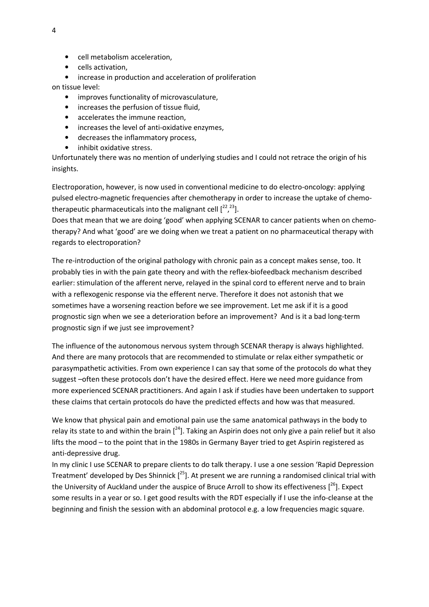- cell metabolism acceleration,
- cells activation,
- increase in production and acceleration of proliferation

on tissue level:

- improves functionality of microvasculature,
- increases the perfusion of tissue fluid,
- accelerates the immune reaction,
- increases the level of anti-oxidative enzymes,
- decreases the inflammatory process,
- inhibit oxidative stress.

Unfortunately there was no mention of underlying studies and I could not retrace the origin of his insights.

Electroporation, however, is now used in conventional medicine to do electro-oncology: applying pulsed electro-magnetic frequencies after chemotherapy in order to increase the uptake of chemotherapeutic pharmaceuticals into the malignant cell  $[2^2, 2^3]$ .

Does that mean that we are doing 'good' when applying SCENAR to cancer patients when on chemotherapy? And what 'good' are we doing when we treat a patient on no pharmaceutical therapy with regards to electroporation?

The re-introduction of the original pathology with chronic pain as a concept makes sense, too. It probably ties in with the pain gate theory and with the reflex-biofeedback mechanism described earlier: stimulation of the afferent nerve, relayed in the spinal cord to efferent nerve and to brain with a reflexogenic response via the efferent nerve. Therefore it does not astonish that we sometimes have a worsening reaction before we see improvement. Let me ask if it is a good prognostic sign when we see a deterioration before an improvement? And is it a bad long-term prognostic sign if we just see improvement?

The influence of the autonomous nervous system through SCENAR therapy is always highlighted. And there are many protocols that are recommended to stimulate or relax either sympathetic or parasympathetic activities. From own experience I can say that some of the protocols do what they suggest –often these protocols don't have the desired effect. Here we need more guidance from more experienced SCENAR practitioners. And again I ask if studies have been undertaken to support these claims that certain protocols do have the predicted effects and how was that measured.

We know that physical pain and emotional pain use the same anatomical pathways in the body to relay its state to and within the brain  $\int^{24}$ . Taking an Aspirin does not only give a pain relief but it also lifts the mood – to the point that in the 1980s in Germany Bayer tried to get Aspirin registered as anti-depressive drug.

In my clinic I use SCENAR to prepare clients to do talk therapy. I use a one session 'Rapid Depression Treatment' developed by Des Shinnick  $[2<sup>5</sup>]$ . At present we are running a randomised clinical trial with the University of Auckland under the auspice of Bruce Arroll to show its effectiveness  $[26]$ . Expect some results in a year or so. I get good results with the RDT especially if I use the info-cleanse at the beginning and finish the session with an abdominal protocol e.g. a low frequencies magic square.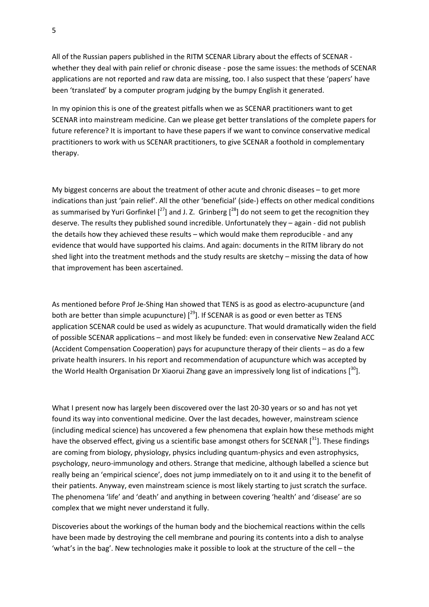All of the Russian papers published in the RITM SCENAR Library about the effects of SCENAR whether they deal with pain relief or chronic disease - pose the same issues: the methods of SCENAR applications are not reported and raw data are missing, too. I also suspect that these 'papers' have been 'translated' by a computer program judging by the bumpy English it generated.

In my opinion this is one of the greatest pitfalls when we as SCENAR practitioners want to get SCENAR into mainstream medicine. Can we please get better translations of the complete papers for future reference? It is important to have these papers if we want to convince conservative medical practitioners to work with us SCENAR practitioners, to give SCENAR a foothold in complementary therapy.

My biggest concerns are about the treatment of other acute and chronic diseases – to get more indications than just 'pain relief'. All the other 'beneficial' (side-) effects on other medical conditions as summarised by Yuri Gorfinkel  $\int^{27}$ ] and J. Z. Grinberg  $\int^{28}$ ] do not seem to get the recognition they deserve. The results they published sound incredible. Unfortunately they – again - did not publish the details how they achieved these results – which would make them reproducible - and any evidence that would have supported his claims. And again: documents in the RITM library do not shed light into the treatment methods and the study results are sketchy – missing the data of how that improvement has been ascertained.

As mentioned before Prof Je-Shing Han showed that TENS is as good as electro-acupuncture (and both are better than simple acupuncture)  $[29]$ . If SCENAR is as good or even better as TENS application SCENAR could be used as widely as acupuncture. That would dramatically widen the field of possible SCENAR applications – and most likely be funded: even in conservative New Zealand ACC (Accident Compensation Cooperation) pays for acupuncture therapy of their clients – as do a few private health insurers. In his report and recommendation of acupuncture which was accepted by the World Health Organisation Dr Xiaorui Zhang gave an impressively long list of indications  $[^{30}].$ 

What I present now has largely been discovered over the last 20-30 years or so and has not yet found its way into conventional medicine. Over the last decades, however, mainstream science (including medical science) has uncovered a few phenomena that explain how these methods might have the observed effect, giving us a scientific base amongst others for SCENAR [31]. These findings are coming from biology, physiology, physics including quantum-physics and even astrophysics, psychology, neuro-immunology and others. Strange that medicine, although labelled a science but really being an 'empirical science', does not jump immediately on to it and using it to the benefit of their patients. Anyway, even mainstream science is most likely starting to just scratch the surface. The phenomena 'life' and 'death' and anything in between covering 'health' and 'disease' are so complex that we might never understand it fully.

Discoveries about the workings of the human body and the biochemical reactions within the cells have been made by destroying the cell membrane and pouring its contents into a dish to analyse 'what's in the bag'. New technologies make it possible to look at the structure of the cell – the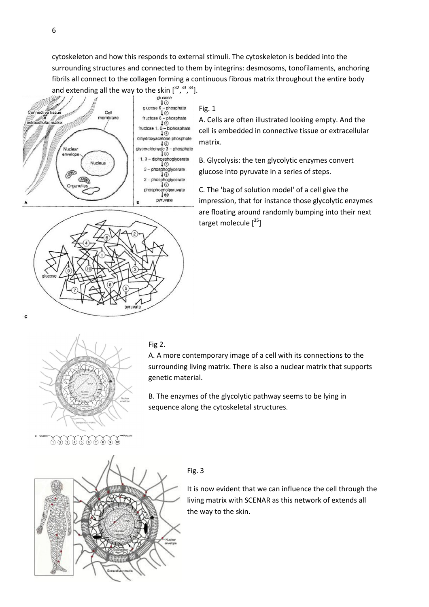cytoskeleton and how this responds to external stimuli. The cytoskeleton is bedded into the surrounding structures and connected to them by integrins: desmosoms, tonofilaments, anchoring fibrils all connect to the collagen forming a continuous fibrous matrix throughout the entire body and extending all the way to the skin  $[32, 33, 34]$ .



 $\overline{c}$ 

Fig. 1

A. Cells are often illustrated looking empty. And the cell is embedded in connective tissue or extracellular matrix.

B. Glycolysis: the ten glycolytic enzymes convert glucose into pyruvate in a series of steps.

C. The 'bag of solution model' of a cell give the impression, that for instance those glycolytic enzymes are floating around randomly bumping into their next target molecule  $[35]$ 



C

A. A more contemporary image of a cell with its connections to the surrounding living matrix. There is also a nuclear matrix that supports genetic material.

B. The enzymes of the glycolytic pathway seems to be lying in sequence along the cytoskeletal structures.



 $\bigoplus \mathfrak{F} \bigoplus \mathfrak{F} \bigoplus \mathfrak{F} \bigoplus \mathfrak{F} \bigoplus \mathfrak{F} \bigoplus \mathfrak{F}$ 

## Fig. 3

It is now evident that we can influence the cell through the living matrix with SCENAR as this network of extends all the way to the skin.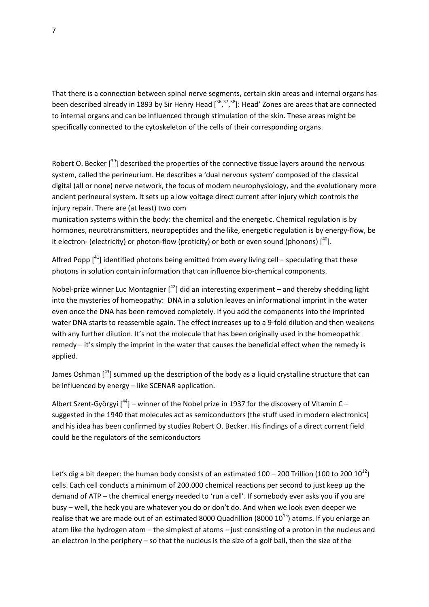That there is a connection between spinal nerve segments, certain skin areas and internal organs has been described already in 1893 by Sir Henry Head  $[36,77,38]$ : Head' Zones are areas that are connected to internal organs and can be influenced through stimulation of the skin. These areas might be specifically connected to the cytoskeleton of the cells of their corresponding organs.

Robert O. Becker  $\int^{39}$  described the properties of the connective tissue layers around the nervous system, called the perineurium. He describes a 'dual nervous system' composed of the classical digital (all or none) nerve network, the focus of modern neurophysiology, and the evolutionary more ancient perineural system. It sets up a low voltage direct current after injury which controls the injury repair. There are (at least) two com

munication systems within the body: the chemical and the energetic. Chemical regulation is by hormones, neurotransmitters, neuropeptides and the like, energetic regulation is by energy-flow, be it electron- (electricity) or photon-flow (proticity) or both or even sound (phonons)  $[40]$ .

Alfred Popp  $\int_0^{41}$  identified photons being emitted from every living cell – speculating that these photons in solution contain information that can influence bio-chemical components.

Nobel-prize winner Luc Montagnier  $\int^{42}$ ] did an interesting experiment – and thereby shedding light into the mysteries of homeopathy: DNA in a solution leaves an informational imprint in the water even once the DNA has been removed completely. If you add the components into the imprinted water DNA starts to reassemble again. The effect increases up to a 9-fold dilution and then weakens with any further dilution. It's not the molecule that has been originally used in the homeopathic remedy – it's simply the imprint in the water that causes the beneficial effect when the remedy is applied.

James Oshman  $\left[\right]^{43}$  summed up the description of the body as a liquid crystalline structure that can be influenced by energy – like SCENAR application.

Albert Szent-Györgyi  $[44]$  – winner of the Nobel prize in 1937 for the discovery of Vitamin C – suggested in the 1940 that molecules act as semiconductors (the stuff used in modern electronics) and his idea has been confirmed by studies Robert O. Becker. His findings of a direct current field could be the regulators of the semiconductors

Let's dig a bit deeper: the human body consists of an estimated  $100 - 200$  Trillion (100 to 200  $10^{12}$ ) cells. Each cell conducts a minimum of 200.000 chemical reactions per second to just keep up the demand of ATP – the chemical energy needed to 'run a cell'. If somebody ever asks you if you are busy – well, the heck you are whatever you do or don't do. And when we look even deeper we realise that we are made out of an estimated 8000 Quadrillion (8000  $10^{15}$ ) atoms. If you enlarge an atom like the hydrogen atom – the simplest of atoms – just consisting of a proton in the nucleus and an electron in the periphery – so that the nucleus is the size of a golf ball, then the size of the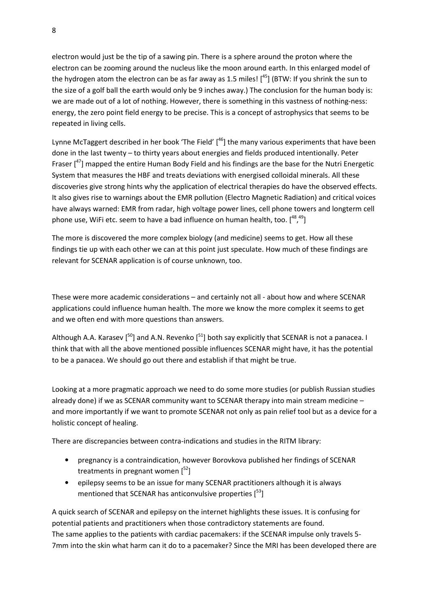electron would just be the tip of a sawing pin. There is a sphere around the proton where the electron can be zooming around the nucleus like the moon around earth. In this enlarged model of the hydrogen atom the electron can be as far away as 1.5 miles!  $[45]$  (BTW: If you shrink the sun to the size of a golf ball the earth would only be 9 inches away.) The conclusion for the human body is: we are made out of a lot of nothing. However, there is something in this vastness of nothing-ness: energy, the zero point field energy to be precise. This is a concept of astrophysics that seems to be repeated in living cells.

Lynne McTaggert described in her book 'The Field'  $[46]$  the many various experiments that have been done in the last twenty – to thirty years about energies and fields produced intentionally. Peter Fraser  $\binom{47}{1}$  mapped the entire Human Body Field and his findings are the base for the Nutri Energetic System that measures the HBF and treats deviations with energised colloidal minerals. All these discoveries give strong hints why the application of electrical therapies do have the observed effects. It also gives rise to warnings about the EMR pollution (Electro Magnetic Radiation) and critical voices have always warned: EMR from radar, high voltage power lines, cell phone towers and longterm cell phone use, WiFi etc. seem to have a bad influence on human health, too.  $[^{48,49}]$ 

The more is discovered the more complex biology (and medicine) seems to get. How all these findings tie up with each other we can at this point just speculate. How much of these findings are relevant for SCENAR application is of course unknown, too.

These were more academic considerations – and certainly not all - about how and where SCENAR applications could influence human health. The more we know the more complex it seems to get and we often end with more questions than answers.

Although A.A. Karasev  $[50]$  and A.N. Revenko  $[51]$  both say explicitly that SCENAR is not a panacea. I think that with all the above mentioned possible influences SCENAR might have, it has the potential to be a panacea. We should go out there and establish if that might be true.

Looking at a more pragmatic approach we need to do some more studies (or publish Russian studies already done) if we as SCENAR community want to SCENAR therapy into main stream medicine – and more importantly if we want to promote SCENAR not only as pain relief tool but as a device for a holistic concept of healing.

There are discrepancies between contra-indications and studies in the RITM library:

- pregnancy is a contraindication, however Borovkova published her findings of SCENAR treatments in pregnant women  $\lceil^{52} \rceil$
- epilepsy seems to be an issue for many SCENAR practitioners although it is always mentioned that SCENAR has anticonvulsive properties  $[53]$

A quick search of SCENAR and epilepsy on the internet highlights these issues. It is confusing for potential patients and practitioners when those contradictory statements are found. The same applies to the patients with cardiac pacemakers: if the SCENAR impulse only travels 5- 7mm into the skin what harm can it do to a pacemaker? Since the MRI has been developed there are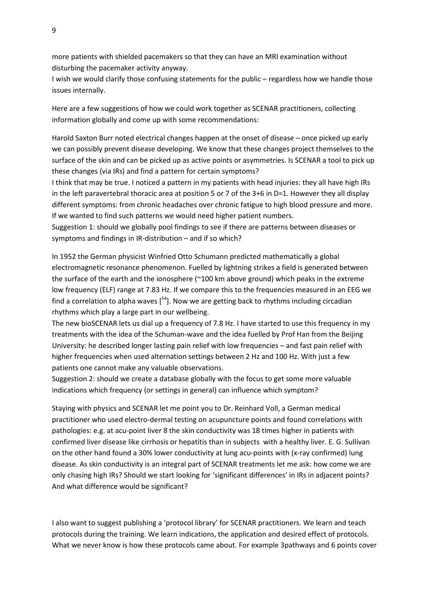more patients with shielded pacemakers so that they can have an MRI examination without disturbing the pacemaker activity anyway.

I wish we would clarify those confusing statements for the public – regardless how we handle those issues internally.

Here are a few suggestions of how we could work together as SCENAR practitioners, collecting information globally and come up with some recommendations:

Harold Saxton Burr noted electrical changes happen at the onset of disease – once picked up early we can possibly prevent disease developing. We know that these changes project themselves to the surface of the skin and can be picked up as active points or asymmetries. Is SCENAR a tool to pick up these changes (via IRs) and find a pattern for certain symptoms?

I think that may be true. I noticed a pattern in my patients with head injuries: they all have high IRs in the left paravertebral thoracic area at position 5 or 7 of the 3+6 in D=1. However they all display different symptoms: from chronic headaches over chronic fatigue to high blood pressure and more. If we wanted to find such patterns we would need higher patient numbers.

Suggestion 1: should we globally pool findings to see if there are patterns between diseases or symptoms and findings in IR-distribution – and if so which?

In 1952 the German physicist Winfried Otto Schumann predicted mathematically a global electromagnetic resonance phenomenon. Fuelled by lightning strikes a field is generated between the surface of the earth and the ionosphere (~100 km above ground) which peaks in the extreme low frequency (ELF) range at 7.83 Hz. If we compare this to the frequencies measured in an EEG we find a correlation to alpha waves  $[54]$ . Now we are getting back to rhythms including circadian rhythms which play a large part in our wellbeing.

The new bioSCENAR lets us dial up a frequency of 7.8 Hz. I have started to use this frequency in my treatments with the idea of the Schuman-wave and the idea fuelled by Prof Han from the Beijing University: he described longer lasting pain relief with low frequencies – and fast pain relief with higher frequencies when used alternation settings between 2 Hz and 100 Hz. With just a few patients one cannot make any valuable observations.

Suggestion 2: should we create a database globally with the focus to get some more valuable indications which frequency (or settings in general) can influence which symptom?

Staying with physics and SCENAR let me point you to Dr. Reinhard Voll, a German medical practitioner who used electro-dermal testing on acupuncture points and found correlations with pathologies: e.g. at acu-point liver 8 the skin conductivity was 18 times higher in patients with confirmed liver disease like cirrhosis or hepatitis than in subjects with a healthy liver. E. G. Sullivan on the other hand found a 30% lower conductivity at lung acu-points with (x-ray confirmed) lung disease. As skin conductivity is an integral part of SCENAR treatments let me ask: how come we are only chasing high IRs? Should we start looking for 'significant differences' in IRs in adjacent points? And what difference would be significant?

I also want to suggest publishing a 'protocol library' for SCENAR practitioners. We learn and teach protocols during the training. We learn indications, the application and desired effect of protocols. What we never know is how these protocols came about. For example 3pathways and 6 points cover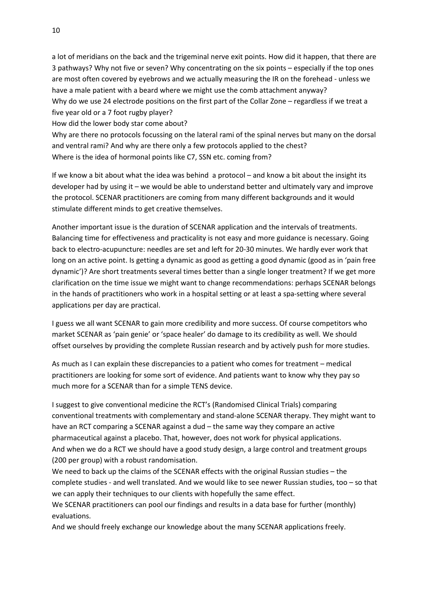a lot of meridians on the back and the trigeminal nerve exit points. How did it happen, that there are 3 pathways? Why not five or seven? Why concentrating on the six points – especially if the top ones are most often covered by eyebrows and we actually measuring the IR on the forehead - unless we have a male patient with a beard where we might use the comb attachment anyway? Why do we use 24 electrode positions on the first part of the Collar Zone – regardless if we treat a five year old or a 7 foot rugby player?

How did the lower body star come about?

Why are there no protocols focussing on the lateral rami of the spinal nerves but many on the dorsal and ventral rami? And why are there only a few protocols applied to the chest? Where is the idea of hormonal points like C7, SSN etc. coming from?

If we know a bit about what the idea was behind a protocol – and know a bit about the insight its developer had by using it – we would be able to understand better and ultimately vary and improve the protocol. SCENAR practitioners are coming from many different backgrounds and it would stimulate different minds to get creative themselves.

Another important issue is the duration of SCENAR application and the intervals of treatments. Balancing time for effectiveness and practicality is not easy and more guidance is necessary. Going back to electro-acupuncture: needles are set and left for 20-30 minutes. We hardly ever work that long on an active point. Is getting a dynamic as good as getting a good dynamic (good as in 'pain free dynamic')? Are short treatments several times better than a single longer treatment? If we get more clarification on the time issue we might want to change recommendations: perhaps SCENAR belongs in the hands of practitioners who work in a hospital setting or at least a spa-setting where several applications per day are practical.

I guess we all want SCENAR to gain more credibility and more success. Of course competitors who market SCENAR as 'pain genie' or 'space healer' do damage to its credibility as well. We should offset ourselves by providing the complete Russian research and by actively push for more studies.

As much as I can explain these discrepancies to a patient who comes for treatment – medical practitioners are looking for some sort of evidence. And patients want to know why they pay so much more for a SCENAR than for a simple TENS device.

I suggest to give conventional medicine the RCT's (Randomised Clinical Trials) comparing conventional treatments with complementary and stand-alone SCENAR therapy. They might want to have an RCT comparing a SCENAR against a dud – the same way they compare an active pharmaceutical against a placebo. That, however, does not work for physical applications. And when we do a RCT we should have a good study design, a large control and treatment groups (200 per group) with a robust randomisation.

We need to back up the claims of the SCENAR effects with the original Russian studies – the complete studies - and well translated. And we would like to see newer Russian studies, too – so that we can apply their techniques to our clients with hopefully the same effect.

We SCENAR practitioners can pool our findings and results in a data base for further (monthly) evaluations.

And we should freely exchange our knowledge about the many SCENAR applications freely.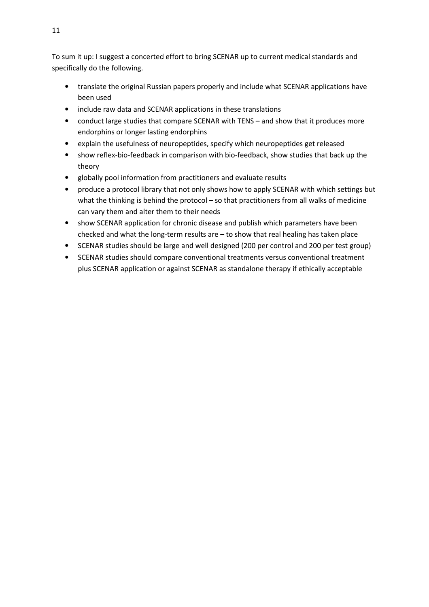To sum it up: I suggest a concerted effort to bring SCENAR up to current medical standards and specifically do the following.

- translate the original Russian papers properly and include what SCENAR applications have been used
- include raw data and SCENAR applications in these translations
- conduct large studies that compare SCENAR with TENS and show that it produces more endorphins or longer lasting endorphins
- explain the usefulness of neuropeptides, specify which neuropeptides get released
- show reflex-bio-feedback in comparison with bio-feedback, show studies that back up the theory
- globally pool information from practitioners and evaluate results
- produce a protocol library that not only shows how to apply SCENAR with which settings but what the thinking is behind the protocol – so that practitioners from all walks of medicine can vary them and alter them to their needs
- show SCENAR application for chronic disease and publish which parameters have been checked and what the long-term results are  $-$  to show that real healing has taken place
- SCENAR studies should be large and well designed (200 per control and 200 per test group)
- SCENAR studies should compare conventional treatments versus conventional treatment plus SCENAR application or against SCENAR as standalone therapy if ethically acceptable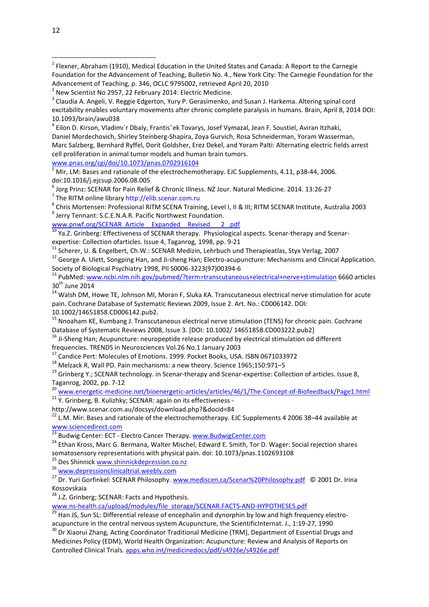4 Eilon D. Kirson, Vladimı´r Dbaly, Frantisˇek Tovarys, Josef Vymazal, Jean F. Soustiel, Aviran Itzhaki, Daniel Mordechovich, Shirley Steinberg-Shapira, Zoya Gurvich, Rosa Schneiderman, Yoram Wasserman, Marc Salzberg, Bernhard Ryffel, Dorit Goldsher, Erez Dekel, and Yoram Palti: Alternating electric fields arrest cell proliferation in animal tumor models and human brain tumors.

www.pnas.org/cgi/doi/10.1073/pnas.0702916104

5 Mir, LM: Bases and rationale of the electrochemotherapy. EJC Supplements, 4.11, p38-44, 2006. doi:10.1016/j.ejcsup.2006.08.005

<sup>6</sup> Jorg Prinz: SCENAR for Pain Relief & Chronic Illness. NZ Jour. Natural Medicine. 2014. 13:26-27

<sup>7</sup> The RITM online library http://elib.scenar.com.ru

<sup>8</sup> Chris Mortensen: Professional RITM SCENA Training, Level I, II & III; RITM SCENAR Institute, Australia 2003 <sup>9</sup> Jerry Tennant: S.C.E.N.A.R. Pacific Northwest Foundation.

www.pnwf.org/SCENAR\_Article\_Expanded Revised 2.pdf

 $^{10}$  Ya.Z. Grinberg: Effectiveness of SCENAR therapy. Physiological aspects. Scenar-therapy and Scenarexpertise: Collection ofarticles. Issue 4, Taganrog, 1998, pp. 9-21

 $11$  Scherer, U. & Engelbert, Ch.W.: SCENAR Medizin, Lehrbuch und Therapieatlas, Styx Verlag, 2007

<sup>12</sup> George A. Ulett, Songping Han, and Ji-sheng Han; Electro-acupuncture: Mechanisms and Clinical Application. Society of Biological Psychiatry 1998, PII S0006-3223(97)00394-6

<sup>13</sup> PubMed: www.ncbi.nlm.nih.gov/pubmed/?term=transcutaneous+electrical+nerve+stimulation 6660 articles  $30<sup>th</sup>$  June 2014

<sup>14</sup> Walsh DM, Howe TE, Johnson MI, Moran F, Sluka KA. Transcutaneous electrical nerve stimulation for acute pain. Cochrane Database of Systematic Reviews 2009, Issue 2. Art. No.: CD006142. DOI: 10.1002/14651858.CD006142.pub2.

<sup>15</sup> Nnoaham KE, Kumbang J. Transcutaneous electrical nerve stimulation (TENS) for chronic pain. Cochrane Database of Systematic Reviews 2008, Issue 3. [DOI: 10.1002/ 14651858.CD003222.pub2]

<sup>16</sup> Ji-Sheng Han; Acupuncture: neuropeptide release produced by electrical stimulation od different

frequencies. TRENDS in Neurosciences Vol.26 No.1 January 2003

<sup>17</sup> Candice Pert: Molecules of Emotions. 1999. Pocket Books, USA. ISBN 0671033972

<sup>18</sup> Melzack R, Wall PD. Pain mechanisms: a new theory. Science 1965;150:971–5

 $19$  Grinberg Y.; SCENAR technology. in Scenar-therapy and Scenar-expertise: Collection of articles. Issue 8, Taganrog, 2002, pp. 7-12

<sup>20</sup> www.energetic-medicine.net/bioenergetic-articles/articles/46/1/The-Concept-of-Biofeedback/Page1.html

21 Y. Grinberg, B. Kulizhky; SCENAR: again on its effectiveness -

http://www.scenar.com.au/docsys/download.php?&docid=84

 $^{22}$  L.M. Mir: Bases and rationale of the electrochemotherapy. EJC Supplements 4 2006 38–44 available at www.sciencedirect.com

<sup>23</sup> Budwig Center: ECT - Electro Cancer Therapy. www.BudwigCenter.com

<sup>24</sup> Ethan Kross, Marc G. Bermana, Walter Mischel, Edward E. Smith, Tor D. Wager: Social rejection shares somatosensory representations with physical pain. doi: 10.1073/pnas.1102693108

<sup>25</sup> Des Shinnick www.shinnickdepression.co.nz

<sup>26</sup> www.depressionclinicaltrial.weebly.com

<sup>27</sup> Dr. Yuri Gorfinkel: SCENAR Philosophy. www.mediscen.ca/Scenar%20Philosophy.pdf © 2001 Dr. Irina Kossovskaia

<sup>28</sup> J.Z. Grinberg; SCENAR: Facts and Hypothesis.

www.ns-health.ca/upload/modules/file\_storage/SCENAR.FACTS-AND-HYPOTHESES.pdf

<sup>29</sup> Han JS, Sun SL: Differential release of encephalin and dynorphin by low and high frequency electroacupuncture in the central nervous system.Acupuncture, the ScientificInternat. J., 1:19-27, 1990

<sup>30</sup> Dr Xiaorui Zhang, Acting Coordinator Traditional Medicine (TRM), Department of Essential Drugs and Medicines Policy (EDM), World Health Organization: Acupuncture: Review and Analysis of Reports on Controlled Clinical Trials. apps.who.int/medicinedocs/pdf/s4926e/s4926e.pdf

 $\overline{a}$ 

<sup>&</sup>lt;sup>1</sup> Flexner, Abraham (1910), Medical Education in the United States and Canada: A Report to the Carnegie Foundation for the Advancement of Teaching, Bulletin No. 4., New York City: The Carnegie Foundation for the Advancement of Teaching, p. 346, OCLC 9795002, retrieved April 20, 2010

 $^2$  New Scientist No 2957, 22 February 2014: Electric Medicine.

 $^3$  Claudia A. Angeli, V. Reggie Edgerton, Yury P. Gerasimenko, and Susan J. Harkema. Altering spinal cord excitability enables voluntary movements after chronic complete paralysis in humans. Brain, April 8, 2014 DOI: 10.1093/brain/awu038